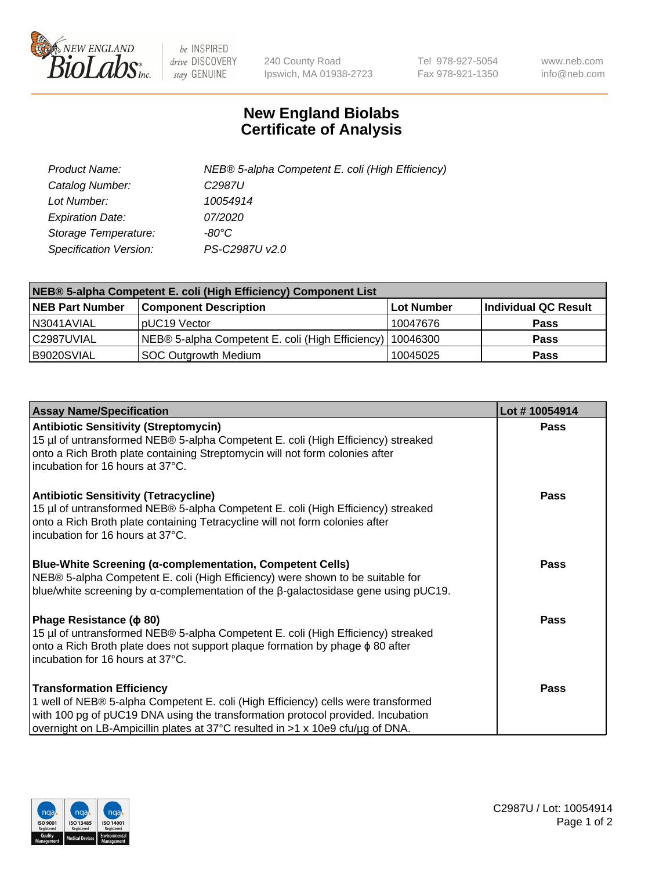

 $be$  INSPIRED drive DISCOVERY stay GENUINE

240 County Road Ipswich, MA 01938-2723 Tel 978-927-5054 Fax 978-921-1350 www.neb.com info@neb.com

## **New England Biolabs Certificate of Analysis**

| Product Name:           | NEB® 5-alpha Competent E. coli (High Efficiency) |
|-------------------------|--------------------------------------------------|
| Catalog Number:         | C <sub>2987</sub> U                              |
| Lot Number:             | 10054914                                         |
| <b>Expiration Date:</b> | <i>07/2020</i>                                   |
| Storage Temperature:    | -80°C                                            |
| Specification Version:  | PS-C2987U v2.0                                   |

| NEB® 5-alpha Competent E. coli (High Efficiency) Component List |                                                  |            |                      |  |
|-----------------------------------------------------------------|--------------------------------------------------|------------|----------------------|--|
| <b>NEB Part Number</b>                                          | <b>Component Description</b>                     | Lot Number | Individual QC Result |  |
| N3041AVIAL                                                      | pUC19 Vector                                     | 10047676   | <b>Pass</b>          |  |
| C2987UVIAL                                                      | NEB® 5-alpha Competent E. coli (High Efficiency) | 10046300   | <b>Pass</b>          |  |
| B9020SVIAL                                                      | <b>SOC Outgrowth Medium</b>                      | 10045025   | <b>Pass</b>          |  |

| <b>Assay Name/Specification</b>                                                                                                                                                                                                                                                            | Lot #10054914 |
|--------------------------------------------------------------------------------------------------------------------------------------------------------------------------------------------------------------------------------------------------------------------------------------------|---------------|
| <b>Antibiotic Sensitivity (Streptomycin)</b><br>15 µl of untransformed NEB® 5-alpha Competent E. coli (High Efficiency) streaked<br>onto a Rich Broth plate containing Streptomycin will not form colonies after<br>incubation for 16 hours at 37°C.                                       | <b>Pass</b>   |
| <b>Antibiotic Sensitivity (Tetracycline)</b><br>15 µl of untransformed NEB® 5-alpha Competent E. coli (High Efficiency) streaked<br>onto a Rich Broth plate containing Tetracycline will not form colonies after<br>incubation for 16 hours at 37°C.                                       | <b>Pass</b>   |
| Blue-White Screening (α-complementation, Competent Cells)<br>NEB® 5-alpha Competent E. coli (High Efficiency) were shown to be suitable for<br>blue/white screening by $\alpha$ -complementation of the $\beta$ -galactosidase gene using pUC19.                                           | Pass          |
| Phage Resistance ( $\phi$ 80)<br>15 µl of untransformed NEB® 5-alpha Competent E. coli (High Efficiency) streaked<br>onto a Rich Broth plate does not support plaque formation by phage $\phi$ 80 after<br>incubation for 16 hours at 37°C.                                                | Pass          |
| <b>Transformation Efficiency</b><br>1 well of NEB® 5-alpha Competent E. coli (High Efficiency) cells were transformed<br>with 100 pg of pUC19 DNA using the transformation protocol provided. Incubation<br>overnight on LB-Ampicillin plates at 37°C resulted in >1 x 10e9 cfu/µg of DNA. | Pass          |